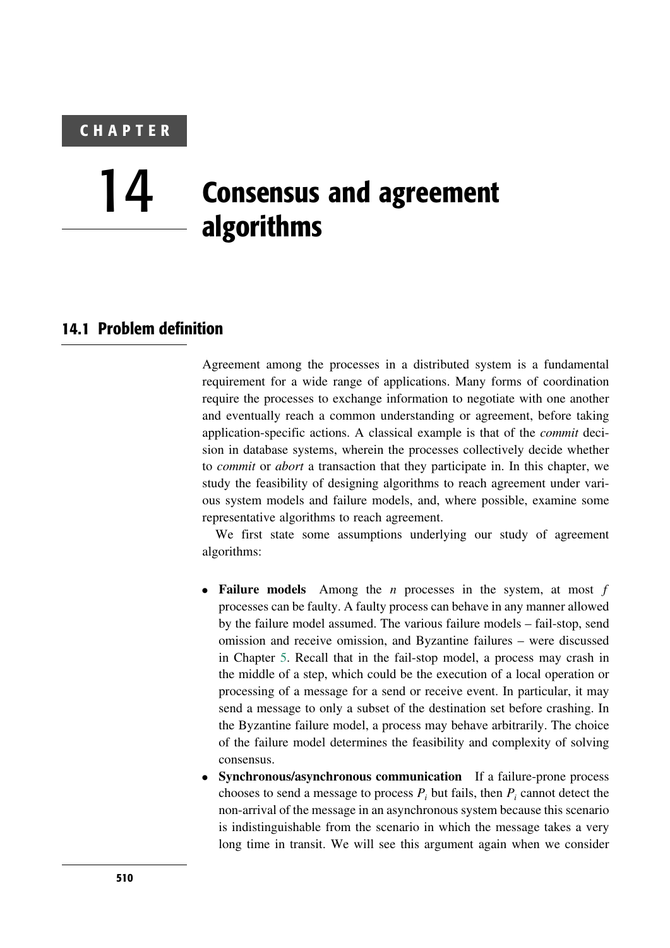# CHAPTER

# | 4 Consensus and agreement algorithms

# 14.1 Problem definition

Agreement among the processes in a distributed system is a fundamental requirement for a wide range of applications. Many forms of coordination require the processes to exchange information to negotiate with one another and eventually reach a common understanding or agreement, before taking application-specific actions. A classical example is that of the *commit* decision in database systems, wherein the processes collectively decide whether to *commit* or *abort* a transaction that they participate in. In this chapter, we study the feasibility of designing algorithms to reach agreement under various system models and failure models, and, where possible, examine some representative algorithms to reach agreement.

We first state some assumptions underlying our study of agreement algorithms:

- Failure models Among the *n* processes in the system, at most  $f$ processes can be faulty. A faulty process can behave in any manner allowed by the failure model assumed. The various failure models – fail-stop, send omission and receive omission, and Byzantine failures – were discussed in Chapter 5. Recall that in the fail-stop model, a process may crash in the middle of a step, which could be the execution of a local operation or processing of a message for a send or receive event. In particular, it may send a message to only a subset of the destination set before crashing. In the Byzantine failure model, a process may behave arbitrarily. The choice of the failure model determines the feasibility and complexity of solving consensus.
- Synchronous/asynchronous communication If a failure-prone process chooses to send a message to process  $P_i$  but fails, then  $P_i$  cannot detect the non-arrival of the message in an asynchronous system because this scenario is indistinguishable from the scenario in which the message takes a very long time in transit. We will see this argument again when we consider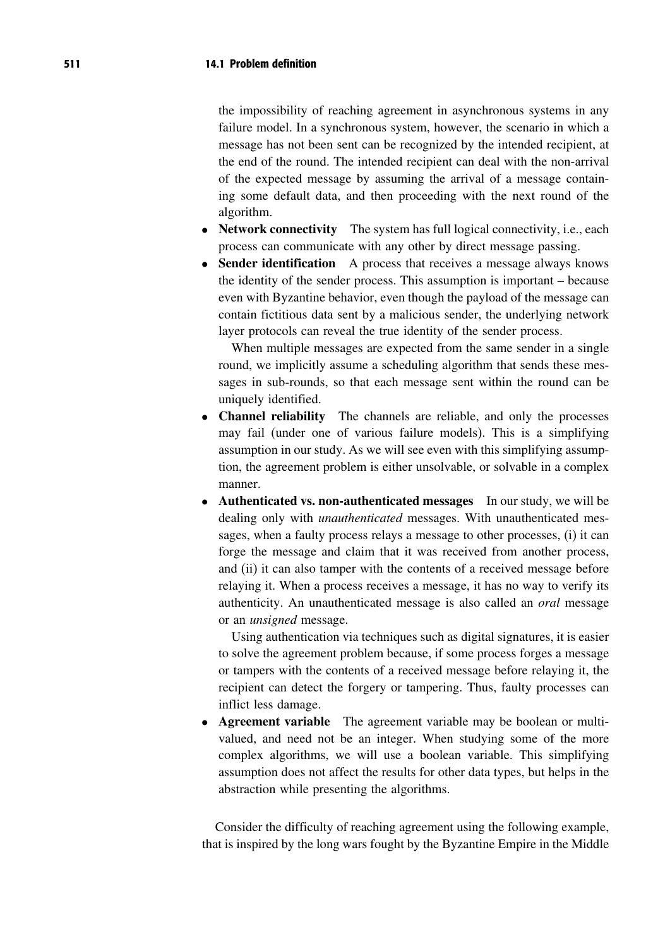the impossibility of reaching agreement in asynchronous systems in any failure model. In a synchronous system, however, the scenario in which a message has not been sent can be recognized by the intended recipient, at the end of the round. The intended recipient can deal with the non-arrival of the expected message by assuming the arrival of a message containing some default data, and then proceeding with the next round of the algorithm.

- Network connectivity The system has full logical connectivity, i.e., each process can communicate with any other by direct message passing.
- Sender identification A process that receives a message always knows the identity of the sender process. This assumption is important – because even with Byzantine behavior, even though the payload of the message can contain fictitious data sent by a malicious sender, the underlying network layer protocols can reveal the true identity of the sender process.

When multiple messages are expected from the same sender in a single round, we implicitly assume a scheduling algorithm that sends these messages in sub-rounds, so that each message sent within the round can be uniquely identified.

- Channel reliability The channels are reliable, and only the processes may fail (under one of various failure models). This is a simplifying assumption in our study. As we will see even with this simplifying assumption, the agreement problem is either unsolvable, or solvable in a complex manner.
- Authenticated vs. non-authenticated messages In our study, we will be dealing only with *unauthenticated* messages. With unauthenticated messages, when a faulty process relays a message to other processes, (i) it can forge the message and claim that it was received from another process, and (ii) it can also tamper with the contents of a received message before relaying it. When a process receives a message, it has no way to verify its authenticity. An unauthenticated message is also called an *oral* message or an *unsigned* message.

Using authentication via techniques such as digital signatures, it is easier to solve the agreement problem because, if some process forges a message or tampers with the contents of a received message before relaying it, the recipient can detect the forgery or tampering. Thus, faulty processes can inflict less damage.

Agreement variable The agreement variable may be boolean or multivalued, and need not be an integer. When studying some of the more complex algorithms, we will use a boolean variable. This simplifying assumption does not affect the results for other data types, but helps in the abstraction while presenting the algorithms.

Consider the difficulty of reaching agreement using the following example, that is inspired by the long wars fought by the Byzantine Empire in the Middle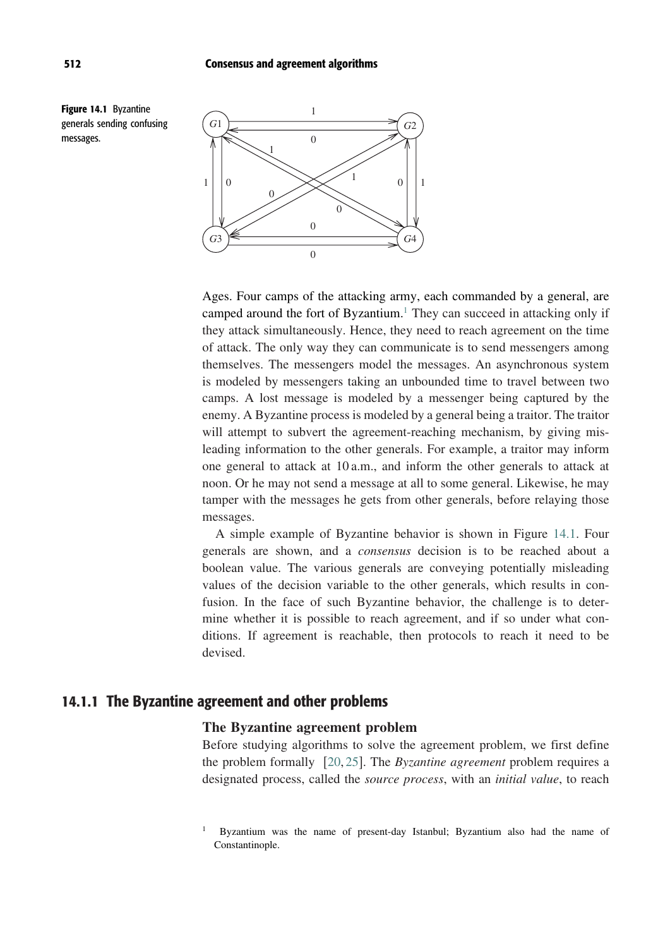



Ages. Four camps of the attacking army, each commanded by a general, are camped around the fort of Byzantium.<sup>1</sup> They can succeed in attacking only if they attack simultaneously. Hence, they need to reach agreement on the time of attack. The only way they can communicate is to send messengers among themselves. The messengers model the messages. An asynchronous system is modeled by messengers taking an unbounded time to travel between two camps. A lost message is modeled by a messenger being captured by the enemy. A Byzantine process is modeled by a general being a traitor. The traitor will attempt to subvert the agreement-reaching mechanism, by giving misleading information to the other generals. For example, a traitor may inform one general to attack at 10 a.m., and inform the other generals to attack at noon. Or he may not send a message at all to some general. Likewise, he may tamper with the messages he gets from other generals, before relaying those messages.

A simple example of Byzantine behavior is shown in Figure 14.1. Four generals are shown, and a *consensus* decision is to be reached about a boolean value. The various generals are conveying potentially misleading values of the decision variable to the other generals, which results in confusion. In the face of such Byzantine behavior, the challenge is to determine whether it is possible to reach agreement, and if so under what conditions. If agreement is reachable, then protocols to reach it need to be devised.

# 14.1.1 The Byzantine agreement and other problems

# The Byzantine agreement problem

Before studying algorithms to solve the agreement problem, we first define the problem formally [20, 25]. The *Byzantine agreement* problem requires a designated process, called the *source process*, with an *initial value*, to reach

<sup>1</sup> Byzantium was the name of present-day Istanbul; Byzantium also had the name of Constantinople.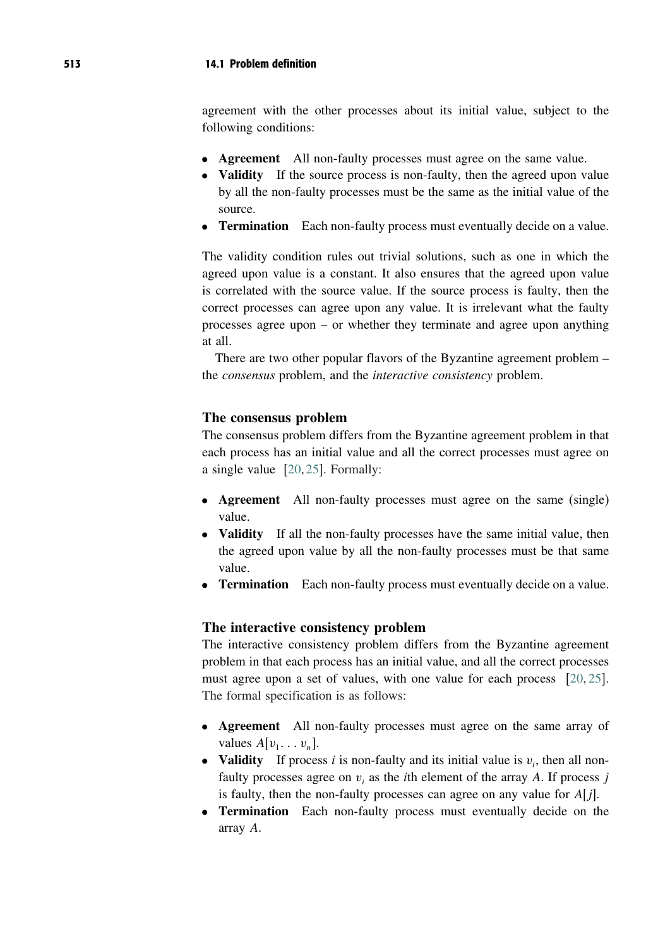agreement with the other processes about its initial value, subject to the following conditions:

- **Agreement** All non-faulty processes must agree on the same value.
- Validity If the source process is non-faulty, then the agreed upon value by all the non-faulty processes must be the same as the initial value of the source.
- **Termination** Each non-faulty process must eventually decide on a value.

The validity condition rules out trivial solutions, such as one in which the agreed upon value is a constant. It also ensures that the agreed upon value is correlated with the source value. If the source process is faulty, then the correct processes can agree upon any value. It is irrelevant what the faulty processes agree upon – or whether they terminate and agree upon anything at all.

There are two other popular flavors of the Byzantine agreement problem – the *consensus* problem, and the *interactive consistency* problem.

#### The consensus problem

The consensus problem differs from the Byzantine agreement problem in that each process has an initial value and all the correct processes must agree on a single value [20, 25]. Formally:

- Agreement All non-faulty processes must agree on the same (single) value.
- Validity If all the non-faulty processes have the same initial value, then the agreed upon value by all the non-faulty processes must be that same value.
- Termination Each non-faulty process must eventually decide on a value.

#### The interactive consistency problem

The interactive consistency problem differs from the Byzantine agreement problem in that each process has an initial value, and all the correct processes must agree upon a set of values, with one value for each process [20, 25]. The formal specification is as follows:

- **Agreement** All non-faulty processes must agree on the same array of values  $A[v_1, \ldots, v_n]$ .
- Validity If process i is non-faulty and its initial value is  $v_i$ , then all nonfaulty processes agree on  $v_i$  as the *i*th element of the array A. If process j is faulty, then the non-faulty processes can agree on any value for  $A[j]$ .
- Termination Each non-faulty process must eventually decide on the array A.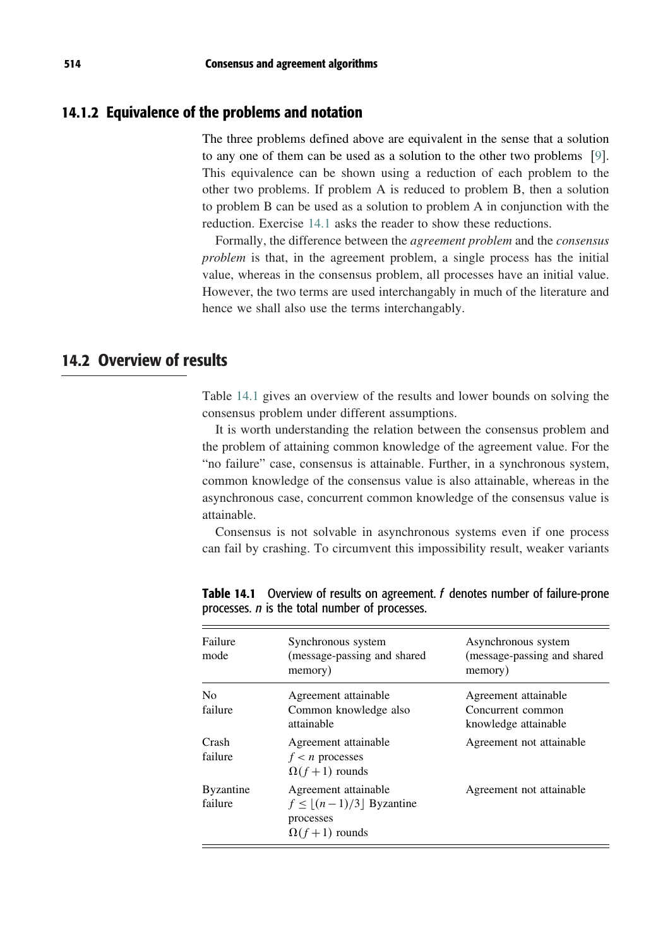## 14.1.2 Equivalence of the problems and notation

The three problems defined above are equivalent in the sense that a solution to any one of them can be used as a solution to the other two problems [9]. This equivalence can be shown using a reduction of each problem to the other two problems. If problem A is reduced to problem B, then a solution to problem B can be used as a solution to problem A in conjunction with the reduction. Exercise 14.1 asks the reader to show these reductions.

Formally, the difference between the *agreement problem* and the *consensus problem* is that, in the agreement problem, a single process has the initial value, whereas in the consensus problem, all processes have an initial value. However, the two terms are used interchangably in much of the literature and hence we shall also use the terms interchangably.

# 14.2 Overview of results

Table 14.1 gives an overview of the results and lower bounds on solving the consensus problem under different assumptions.

It is worth understanding the relation between the consensus problem and the problem of attaining common knowledge of the agreement value. For the "no failure" case, consensus is attainable. Further, in a synchronous system, common knowledge of the consensus value is also attainable, whereas in the asynchronous case, concurrent common knowledge of the consensus value is attainable.

Consensus is not solvable in asynchronous systems even if one process can fail by crashing. To circumvent this impossibility result, weaker variants

| Failure<br>mode               | Synchronous system<br>(message-passing and shared<br>memory)                                            | Asynchronous system<br>(message-passing and shared<br>memory)     |  |
|-------------------------------|---------------------------------------------------------------------------------------------------------|-------------------------------------------------------------------|--|
| $\overline{N}_{0}$<br>failure | Agreement attainable<br>Common knowledge also<br>attainable                                             | Agreement attainable<br>Concurrent common<br>knowledge attainable |  |
| Crash<br>failure              | Agreement attainable<br>$f < n$ processes<br>$\Omega(f+1)$ rounds                                       | Agreement not attainable.                                         |  |
| <b>Byzantine</b><br>failure   | Agreement attainable<br>$f \leq \lfloor (n-1)/3 \rfloor$ Byzantine<br>processes<br>$\Omega(f+1)$ rounds | Agreement not attainable.                                         |  |

Table 14.1 Overview of results on agreement. *f* denotes number of failure-prone processes. n is the total number of processes.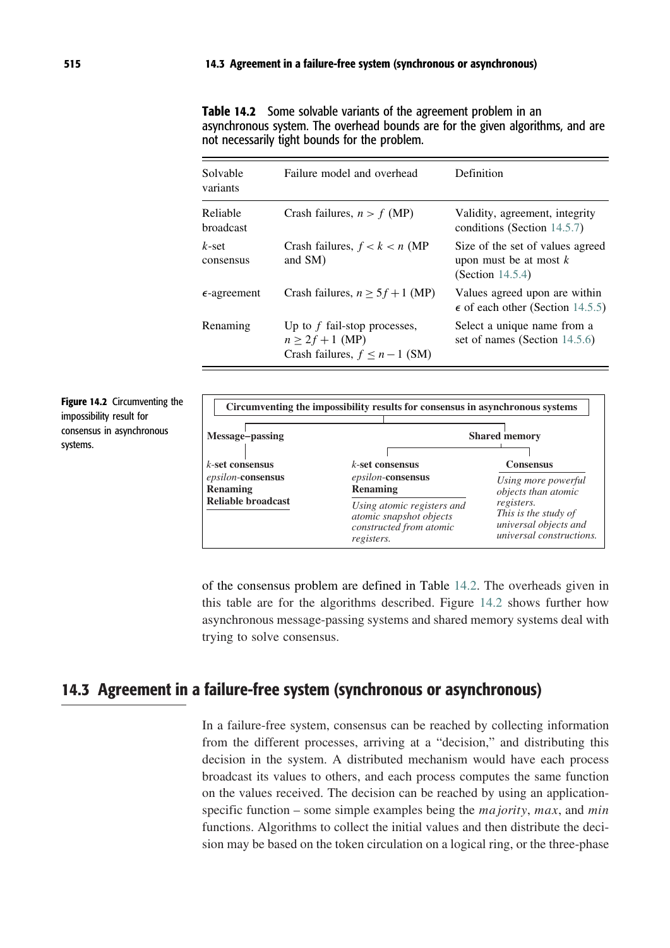Table 14.2 Some solvable variants of the agreement problem in an asynchronous system. The overhead bounds are for the given algorithms, and are not necessarily tight bounds for the problem.

| Solvable<br>variants         | Failure model and overhead                                                                   | Definition                                                                          |  |
|------------------------------|----------------------------------------------------------------------------------------------|-------------------------------------------------------------------------------------|--|
| Reliable<br><b>broadcast</b> | Crash failures, $n > f$ (MP)                                                                 | Validity, agreement, integrity<br>conditions (Section 14.5.7)                       |  |
| $k$ -set<br>consensus        | Crash failures, $f < k < n$ (MP)<br>and SM)                                                  | Size of the set of values agreed<br>upon must be at most $k$<br>(Section $14.5.4$ ) |  |
| $\epsilon$ -agreement        | Crash failures, $n \geq 5f + 1$ (MP)                                                         | Values agreed upon are within<br>$\epsilon$ of each other (Section 14.5.5)          |  |
| Renaming                     | Up to $f$ fail-stop processes,<br>$n \ge 2f + 1$ (MP)<br>Crash failures, $f \leq n - 1$ (SM) | Select a unique name from a<br>set of names (Section 14.5.6)                        |  |

Figure 14.2 Circumventing the impossibility result for consensus in asynchronous systems.



of the consensus problem are defined in Table 14.2. The overheads given in this table are for the algorithms described. Figure 14.2 shows further how asynchronous message-passing systems and shared memory systems deal with trying to solve consensus.

# 14.3 Agreement in a failure-free system (synchronous or asynchronous)

In a failure-free system, consensus can be reached by collecting information from the different processes, arriving at a "decision," and distributing this decision in the system. A distributed mechanism would have each process broadcast its values to others, and each process computes the same function on the values received. The decision can be reached by using an applicationspecific function – some simple examples being the *majority*, *max*, and *min* functions. Algorithms to collect the initial values and then distribute the decision may be based on the token circulation on a logical ring, or the three-phase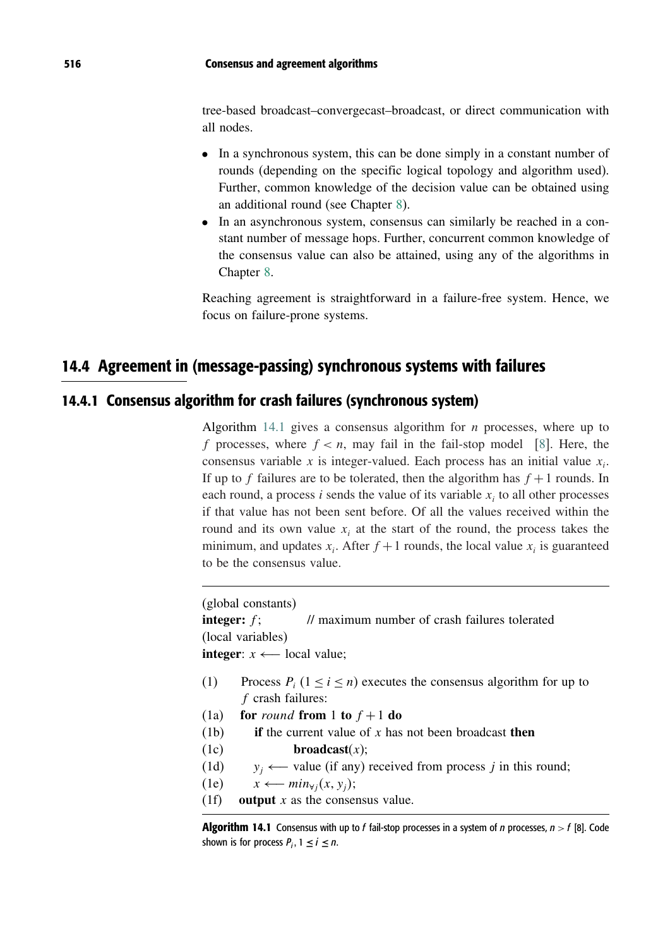tree-based broadcast–convergecast–broadcast, or direct communication with all nodes.

- In a synchronous system, this can be done simply in a constant number of rounds (depending on the specific logical topology and algorithm used). Further, common knowledge of the decision value can be obtained using an additional round (see Chapter 8).
- In an asynchronous system, consensus can similarly be reached in a constant number of message hops. Further, concurrent common knowledge of the consensus value can also be attained, using any of the algorithms in Chapter 8.

Reaching agreement is straightforward in a failure-free system. Hence, we focus on failure-prone systems.

# 14.4 Agreement in (message-passing) synchronous systems with failures

# 14.4.1 Consensus algorithm for crash failures (synchronous system)

Algorithm 14.1 gives a consensus algorithm for  $n$  processes, where up to f processes, where  $f < n$ , may fail in the fail-stop model [8]. Here, the consensus variable x is integer-valued. Each process has an initial value  $x_i$ . If up to f failures are to be tolerated, then the algorithm has  $f + 1$  rounds. In each round, a process i sends the value of its variable  $x_i$  to all other processes if that value has not been sent before. Of all the values received within the round and its own value  $x_i$  at the start of the round, the process takes the minimum, and updates  $x_i$ . After  $f + 1$  rounds, the local value  $x_i$  is guaranteed to be the consensus value.

(global constants) **integer:**  $f$ ; // maximum number of crash failures tolerated (local variables) **integer**:  $x \leftarrow$  local value;

- (1) Process  $P_i$  ( $1 \le i \le n$ ) executes the consensus algorithm for up to f crash failures:
- (1a) for round from 1 to  $f + 1$  do
- (1b) if the current value of x has not been broadcast then
- $(1c)$  broadcast $(x)$ ;
- (1d)  $y_i \leftarrow$  value (if any) received from process j in this round;
- (1e)  $x \leftarrow min_{\forall i}(x, y_i);$
- (1f) output x as the consensus value.

**Algorithm 14.1** Consensus with up to f fail-stop processes in a system of n processes,  $n > f$  [8]. Code shown is for process  $P_i$ ,  $1 \le i \le n$ .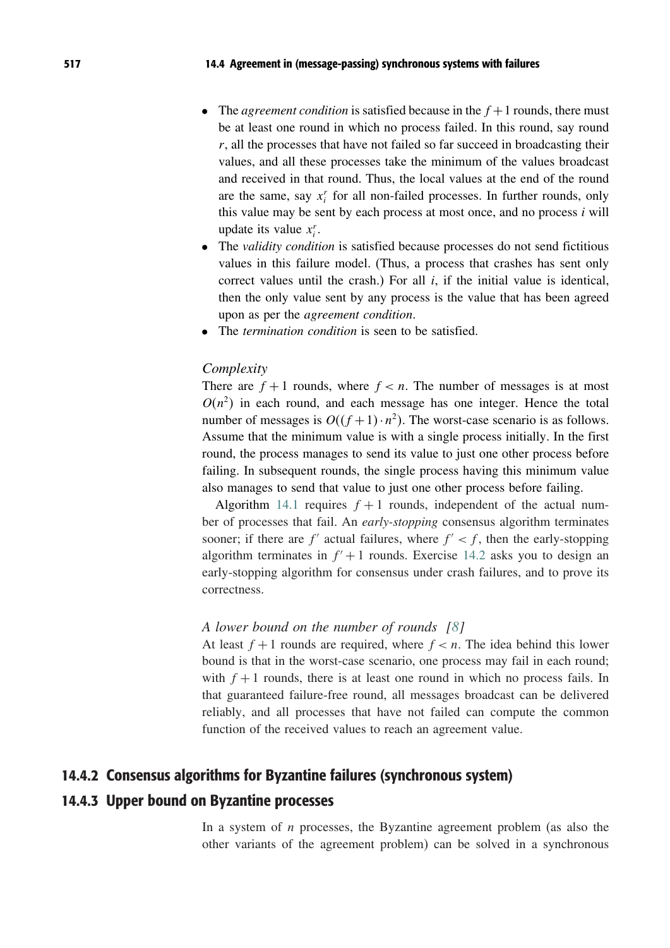#### 517 14.4 Agreement in (message-passing) synchronous systems with failures

- The *agreement condition* is satisfied because in the  $f + 1$  rounds, there must be at least one round in which no process failed. In this round, say round  $r$ , all the processes that have not failed so far succeed in broadcasting their values, and all these processes take the minimum of the values broadcast and received in that round. Thus, the local values at the end of the round are the same, say  $x_i^r$  for all non-failed processes. In further rounds, only this value may be sent by each process at most once, and no process  $i$  will update its value  $x_i^r$ .
- The *validity condition* is satisfied because processes do not send fictitious values in this failure model. (Thus, a process that crashes has sent only correct values until the crash.) For all  $i$ , if the initial value is identical, then the only value sent by any process is the value that has been agreed upon as per the *agreement condition*.
- The *termination condition* is seen to be satisfied.

## *Complexity*

There are  $f + 1$  rounds, where  $f < n$ . The number of messages is at most  $O(n^2)$  in each round, and each message has one integer. Hence the total number of messages is  $O((f + 1) \cdot n^2)$ . The worst-case scenario is as follows. Assume that the minimum value is with a single process initially. In the first round, the process manages to send its value to just one other process before failing. In subsequent rounds, the single process having this minimum value also manages to send that value to just one other process before failing.

Algorithm 14.1 requires  $f + 1$  rounds, independent of the actual number of processes that fail. An *early-stopping* consensus algorithm terminates sooner; if there are f' actual failures, where  $f' < f$ , then the early-stopping algorithm terminates in  $f' + 1$  rounds. Exercise 14.2 asks you to design an early-stopping algorithm for consensus under crash failures, and to prove its correctness.

#### *A lower bound on the number of rounds [8]*

At least  $f + 1$  rounds are required, where  $f < n$ . The idea behind this lower bound is that in the worst-case scenario, one process may fail in each round; with  $f + 1$  rounds, there is at least one round in which no process fails. In that guaranteed failure-free round, all messages broadcast can be delivered reliably, and all processes that have not failed can compute the common function of the received values to reach an agreement value.

## 14.4.2 Consensus algorithms for Byzantine failures (synchronous system)

## 14.4.3 Upper bound on Byzantine processes

In a system of  $n$  processes, the Byzantine agreement problem (as also the other variants of the agreement problem) can be solved in a synchronous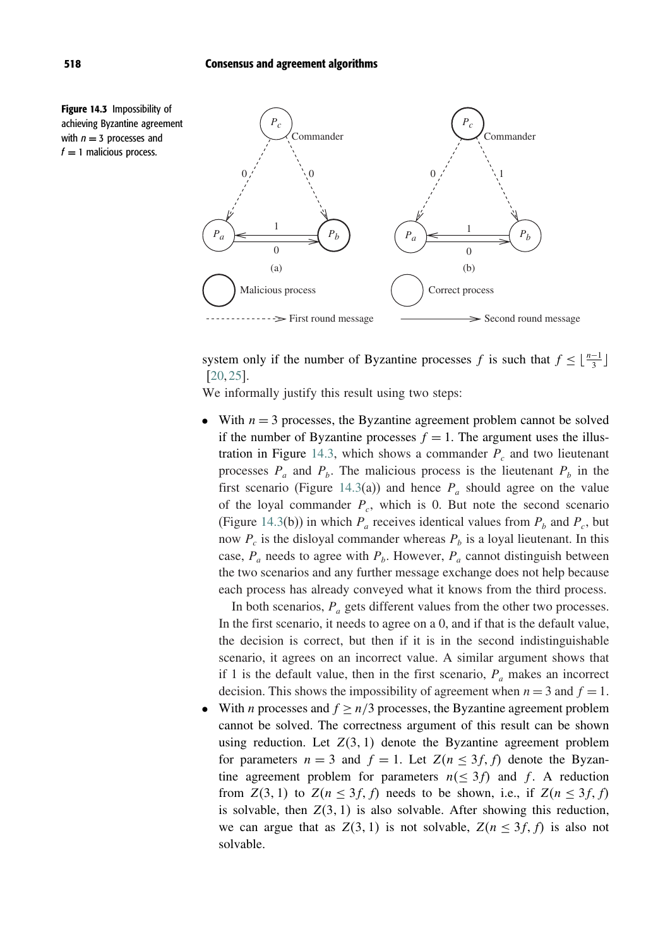



system only if the number of Byzantine processes f is such that  $f \leq \lfloor \frac{n-1}{3} \rfloor$ [20, 25].

We informally justify this result using two steps:

With  $n = 3$  processes, the Byzantine agreement problem cannot be solved if the number of Byzantine processes  $f = 1$ . The argument uses the illustration in Figure 14.3, which shows a commander  $P_c$  and two lieutenant processes  $P_a$  and  $P_b$ . The malicious process is the lieutenant  $P_b$  in the first scenario (Figure 14.3(a)) and hence  $P_a$  should agree on the value of the loyal commander  $P_c$ , which is 0. But note the second scenario (Figure 14.3(b)) in which  $P_a$  receives identical values from  $P_b$  and  $P_c$ , but now  $P_c$  is the disloyal commander whereas  $P_b$  is a loyal lieutenant. In this case,  $P_a$  needs to agree with  $P_b$ . However,  $P_a$  cannot distinguish between the two scenarios and any further message exchange does not help because each process has already conveyed what it knows from the third process.

In both scenarios,  $P_a$  gets different values from the other two processes. In the first scenario, it needs to agree on a 0, and if that is the default value, the decision is correct, but then if it is in the second indistinguishable scenario, it agrees on an incorrect value. A similar argument shows that if 1 is the default value, then in the first scenario,  $P_a$  makes an incorrect decision. This shows the impossibility of agreement when  $n = 3$  and  $f = 1$ .

With *n* processes and  $f \ge n/3$  processes, the Byzantine agreement problem cannot be solved. The correctness argument of this result can be shown using reduction. Let  $Z(3, 1)$  denote the Byzantine agreement problem for parameters  $n = 3$  and  $f = 1$ . Let  $Z(n \leq 3f, f)$  denote the Byzantine agreement problem for parameters  $n (\leq 3f)$  and f. A reduction from  $Z(3, 1)$  to  $Z(n \leq 3f, f)$  needs to be shown, i.e., if  $Z(n \leq 3f, f)$ is solvable, then  $Z(3, 1)$  is also solvable. After showing this reduction, we can argue that as  $Z(3, 1)$  is not solvable,  $Z(n \leq 3f, f)$  is also not solvable.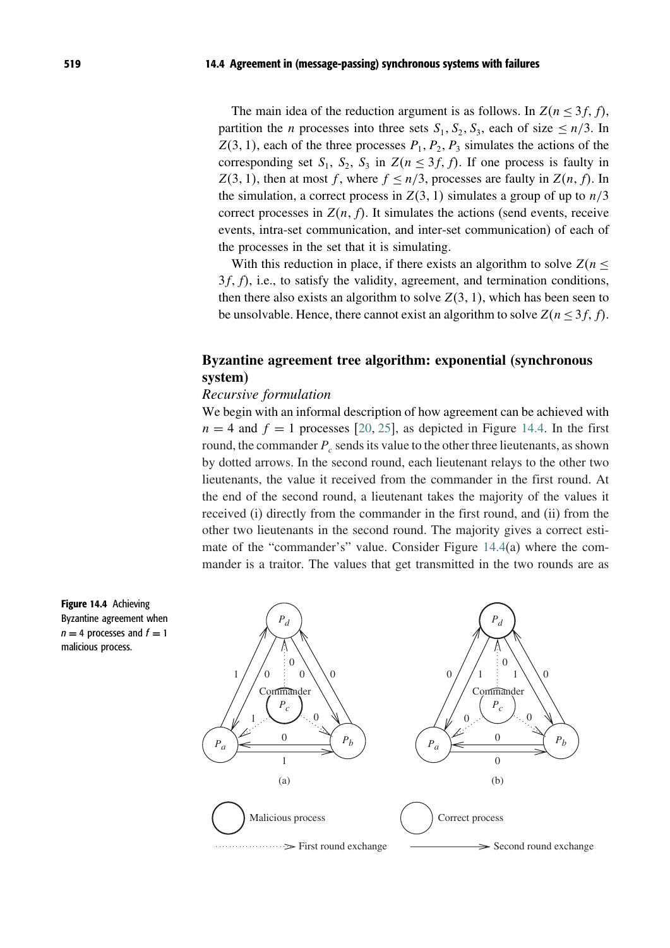#### 519 14.4 Agreement in (message-passing) synchronous systems with failures

The main idea of the reduction argument is as follows. In  $Z(n \leq 3f, f)$ , partition the *n* processes into three sets  $S_1$ ,  $S_2$ ,  $S_3$ , each of size  $\leq n/3$ . In  $Z(3, 1)$ , each of the three processes  $P_1, P_2, P_3$  simulates the actions of the corresponding set  $S_1$ ,  $S_2$ ,  $S_3$  in  $Z(n \leq 3f, f)$ . If one process is faulty in  $Z(3, 1)$ , then at most f, where  $f \leq n/3$ , processes are faulty in  $Z(n, f)$ . In the simulation, a correct process in  $Z(3, 1)$  simulates a group of up to  $n/3$ correct processes in  $Z(n, f)$ . It simulates the actions (send events, receive events, intra-set communication, and inter-set communication) of each of the processes in the set that it is simulating.

With this reduction in place, if there exists an algorithm to solve  $Z(n \leq$  $3f, f$ , i.e., to satisfy the validity, agreement, and termination conditions, then there also exists an algorithm to solve  $Z(3, 1)$ , which has been seen to be unsolvable. Hence, there cannot exist an algorithm to solve  $Z(n \leq 3f, f)$ .

# Byzantine agreement tree algorithm: exponential (synchronous system)

#### *Recursive formulation*

We begin with an informal description of how agreement can be achieved with  $n = 4$  and  $f = 1$  processes [20, 25], as depicted in Figure 14.4. In the first round, the commander  $P_c$  sends its value to the other three lieutenants, as shown by dotted arrows. In the second round, each lieutenant relays to the other two lieutenants, the value it received from the commander in the first round. At the end of the second round, a lieutenant takes the majority of the values it received (i) directly from the commander in the first round, and (ii) from the other two lieutenants in the second round. The majority gives a correct estimate of the "commander's" value. Consider Figure 14.4(a) where the commander is a traitor. The values that get transmitted in the two rounds are as



Figure 14.4 Achieving Byzantine agreement when  $n = 4$  processes and  $f = 1$ malicious process.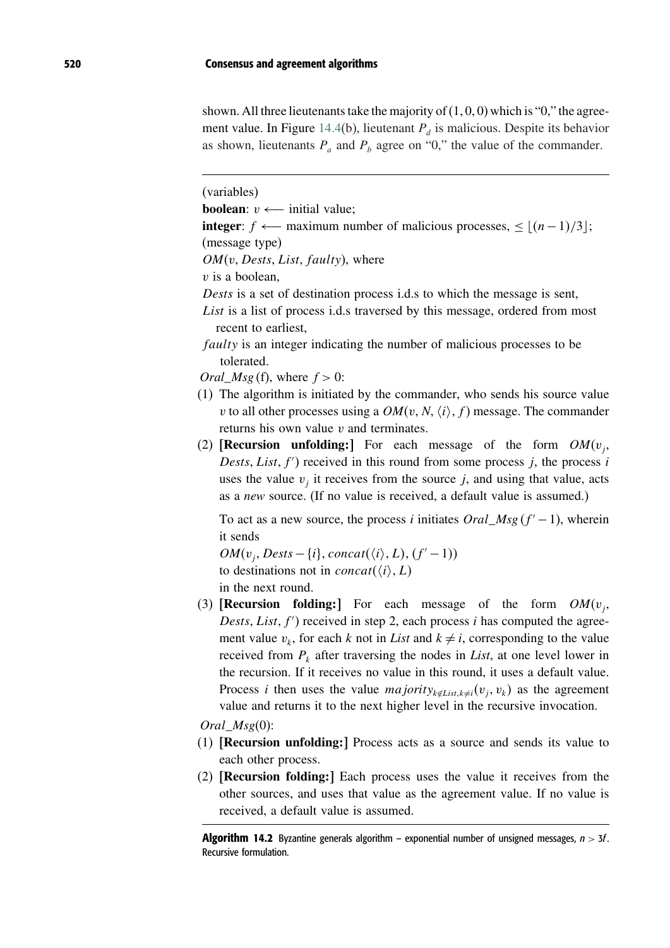shown. All three lieutenants take the majority of  $(1, 0, 0)$  which is "0," the agreement value. In Figure 14.4(b), lieutenant  $P_d$  is malicious. Despite its behavior as shown, lieutenants  $P_a$  and  $P_b$  agree on "0," the value of the commander.

(variables)

**boolean**:  $v \leftarrow$  initial value;

**integer**:  $f \leftarrow$  maximum number of malicious processes,  $\leq \lfloor (n-1)/3 \rfloor$ ;

(message type)

 $OM(v, Dests, List, faulty)$ , where  $v$  is a boolean,

Dests is a set of destination process i.d.s to which the message is sent, List is a list of process i.d.s traversed by this message, ordered from most recent to earliest,

faulty is an integer indicating the number of malicious processes to be tolerated.

*Oral\_Msg* (f), where  $f > 0$ :

- (1) The algorithm is initiated by the commander, who sends his source value v to all other processes using a  $OM(v, N, \langle i \rangle, f)$  message. The commander returns his own value  $v$  and terminates.
- (2) [Recursion unfolding:] For each message of the form  $OM(v_i,$ Dests, List,  $f'$ ) received in this round from some process j, the process i uses the value  $v_i$  it receives from the source j, and using that value, acts as a *new* source. (If no value is received, a default value is assumed.)

To act as a new source, the process i initiates  $Oral\_Msg(f'-1)$ , wherein it sends

 $OM(v_i, Dests -\{i\}, concat(\langle i \rangle, L), (f' - 1))$ to destinations not in *concat*( $\langle i \rangle$ , *L*) in the next round.

(3) **[Recursion folding:**] For each message of the form  $OM(v_i,$ Dests, List,  $f'$ ) received in step 2, each process i has computed the agreement value  $v_k$ , for each k not in *List* and  $k \neq i$ , corresponding to the value received from  $P_k$  after traversing the nodes in *List*, at one level lower in the recursion. If it receives no value in this round, it uses a default value. Process *i* then uses the value *majority*<sub>k∉List,k≠i</sub>( $v_j, v_k$ ) as the agreement value and returns it to the next higher level in the recursive invocation.

Oral  $Msg(0)$ :

- (1) [Recursion unfolding:] Process acts as a source and sends its value to each other process.
- (2) [Recursion folding:] Each process uses the value it receives from the other sources, and uses that value as the agreement value. If no value is received, a default value is assumed.

**Algorithm 14.2** Byzantine generals algorithm – exponential number of unsigned messages,  $n > 3f$ . Recursive formulation.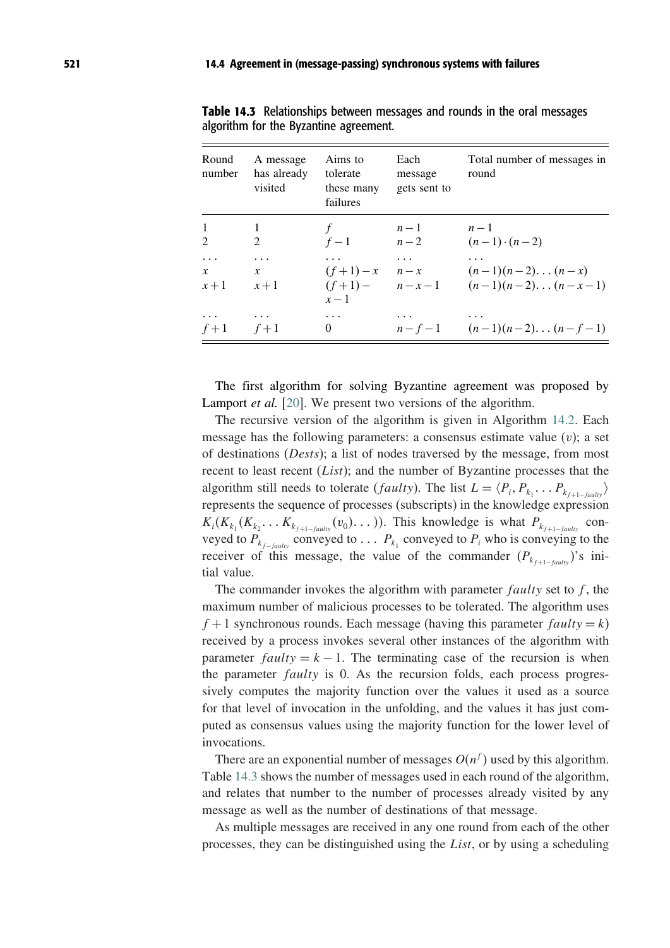| Round<br>number        | A message<br>has already<br>visited | Aims to<br>tolerate<br>these many<br>failures | Each<br>message<br>gets sent to        | Total number of messages in<br>round     |
|------------------------|-------------------------------------|-----------------------------------------------|----------------------------------------|------------------------------------------|
| $\mathbf{1}$<br>2      | 1<br>$\mathfrak{D}$                 | $f-1$                                         | $n-1$<br>$n-2$                         | $n-1$<br>$(n-1) \cdot (n-2)$             |
| $\mathcal{X}$<br>$x+1$ | $\mathcal{X}$<br>$x+1$              | $\cdots$<br>$(f+1) - x$<br>$x-1$              | $\cdots$<br>$n-x$<br>$(f+1)$ - $n-x-1$ | $(n-1)(n-2)(n-x)$<br>$(n-1)(n-2)(n-x-1)$ |
| $f+1$                  | $f+1$                               | $\cdots$<br>0                                 |                                        | $\cdots$<br>$n-f-1$ $(n-1)(n-2)(n-f-1)$  |

Table 14.3 Relationships between messages and rounds in the oral messages algorithm for the Byzantine agreement.

The first algorithm for solving Byzantine agreement was proposed by Lamport *et al.* [20]. We present two versions of the algorithm.

The recursive version of the algorithm is given in Algorithm 14.2. Each message has the following parameters: a consensus estimate value  $(v)$ ; a set of destinations (Dests); a list of nodes traversed by the message, from most recent to least recent (*List*); and the number of Byzantine processes that the algorithm still needs to tolerate (*faulty*). The list  $L = \langle P_i, P_{k_1} \dots P_{k_{f+1-faulty}} \rangle$ represents the sequence of processes (subscripts) in the knowledge expression  $K_i(K_{k_1}(K_{k_2}\ldots K_{k_{f+1-faulty}}(v_0)\ldots)).$  This knowledge is what  $P_{k_{f+1-faulty}}$  conveyed to  $P_{k_{f-faulty}}$  conveyed to  $\ldots$   $P_{k_1}$  conveyed to  $P_i$  who is conveying to the receiver of this message, the value of the commander  $(P_{k_{f+1-fauly}})'$  initial value.

The commander invokes the algorithm with parameter  $faulty$  set to f, the maximum number of malicious processes to be tolerated. The algorithm uses  $f + 1$  synchronous rounds. Each message (having this parameter  $faulty = k$ ) received by a process invokes several other instances of the algorithm with parameter  $faulty = k - 1$ . The terminating case of the recursion is when the parameter faulty is 0. As the recursion folds, each process progressively computes the majority function over the values it used as a source for that level of invocation in the unfolding, and the values it has just computed as consensus values using the majority function for the lower level of invocations.

There are an exponential number of messages  $O(n^f)$  used by this algorithm. Table 14.3 shows the number of messages used in each round of the algorithm, and relates that number to the number of processes already visited by any message as well as the number of destinations of that message.

As multiple messages are received in any one round from each of the other processes, they can be distinguished using the List, or by using a scheduling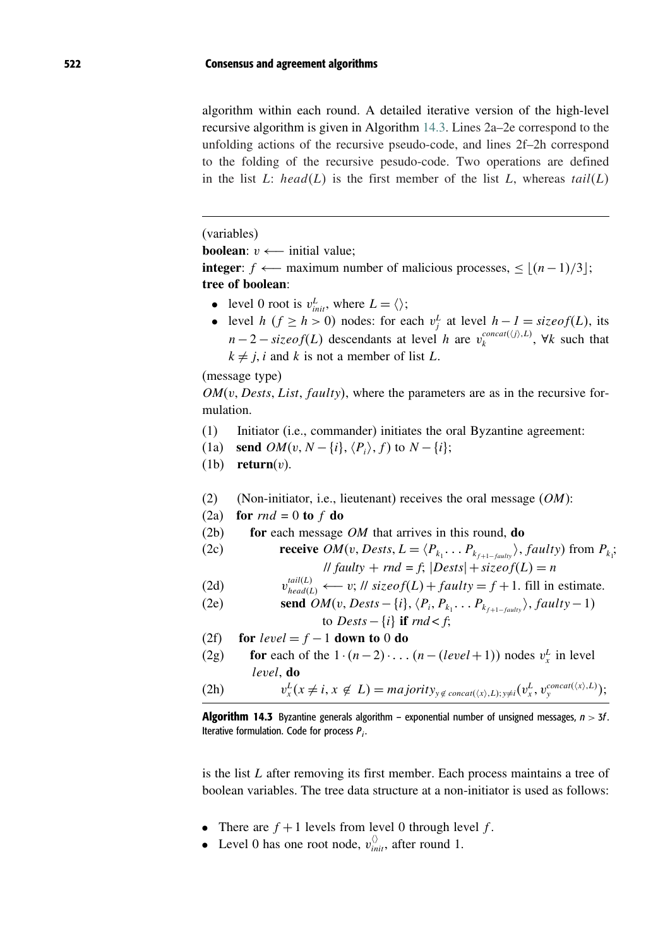algorithm within each round. A detailed iterative version of the high-level recursive algorithm is given in Algorithm 14.3. Lines 2a–2e correspond to the unfolding actions of the recursive pseudo-code, and lines 2f–2h correspond to the folding of the recursive pesudo-code. Two operations are defined in the list L: head(L) is the first member of the list L, whereas  $tail(L)$ 

(variables)

**boolean**:  $v \leftarrow$  initial value;

**integer**:  $f \leftarrow$  maximum number of malicious processes,  $\leq$   $|(n-1)/3|$ ; tree of boolean:

- level 0 root is  $v_{init}^L$ , where  $L = \langle \rangle$ ;
- level  $h$   $(f \ge h > 0)$  nodes: for each  $v_j^L$  at level  $h 1 = sizeof(L)$ , its  $n-2- \text{size} of(L)$  descendants at level h are  $v_k^{\text{concat}(\langle j \rangle, L)}$ ,  $\forall k$  such that  $k \neq j$ , i and k is not a member of list L.

(message type)

 $OM(v, Dests, List, faulty)$ , where the parameters are as in the recursive formulation.

- (1) Initiator (i.e., commander) initiates the oral Byzantine agreement:
- (1a) send  $OM(v, N {i}, \langle P_i \rangle, f)$  to  $N {i};$ <br>(1b) return(v).
- return $(v)$ .
- (2) (Non-initiator, i.e., lieutenant) receives the oral message  $(OM)$ :
- (2a) for  $rnd = 0$  to f do
- $(2b)$  for each message *OM* that arrives in this round, **do**
- (2c) receive  $OM(v, Dests, L = \langle P_{k_1} \dots P_{k_{f+1-faulty}} \rangle, faulty)$  from  $P_{k_1}$ ;  $\text{If } \text{faulty} + \text{rnd} = f$ ;  $\text{|Dests|} + \text{sizeof}(L) = n$
- $(2d)$  $t_{\text{head}(L)}^{tail(L)} \longleftarrow v; \text{ // } sizeof(L) + faulty = f + 1. \text{ fill in estimate.}$
- (2e) send  $OM(v, Dests \{i\}, \langle P_i, P_{k_1} \dots P_{k_{f+1-faulty}} \rangle, faulty 1)$ to  $Dests -\{i\}$  if  $rnd < f$ ;
- (2f) for  $level = f 1$  down to 0 do
- (2g) for each of the  $1 \cdot (n-2) \cdot ... \cdot (n-(level+1))$  nodes  $v_x^L$  in level level, do
- $(2h)$  $x^L(x \neq i, x \notin L) = \text{majority}_{y \notin \text{concat}(\langle x \rangle, L); y \neq i}(v_x^L, v_y^{\text{concat}(\langle x \rangle, L)});$

**Algorithm 14.3** Byzantine generals algorithm – exponential number of unsigned messages,  $n > 3f$ . Iterative formulation. Code for process  $P_i$ .

is the list L after removing its first member. Each process maintains a tree of boolean variables. The tree data structure at a non-initiator is used as follows:

- There are  $f + 1$  levels from level 0 through level f.
- Level 0 has one root node,  $v_{\text{init}}^{\langle \rangle}$ , after round 1.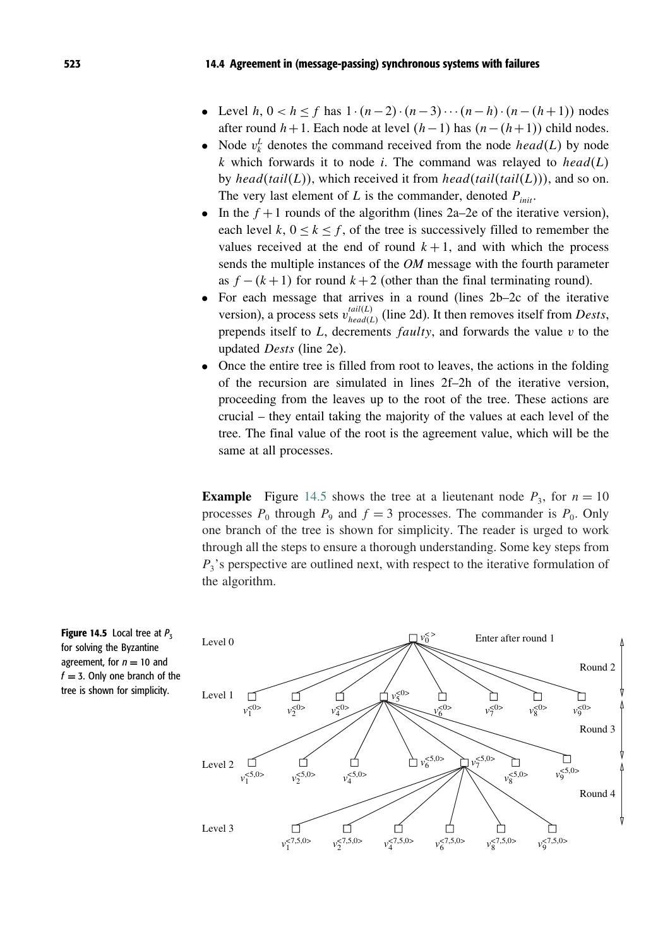#### 523 14.4 Agreement in (message-passing) synchronous systems with failures

- Level  $h, 0 < h \le f$  has  $1 \cdot (n-2) \cdot (n-3) \cdot \cdot \cdot (n-h) \cdot (n-(h+1))$  nodes after round  $h+1$ . Each node at level  $(h-1)$  has  $(n-(h+1))$  child nodes.
- Node  $v_k^L$  denotes the command received from the node  $head(L)$  by node k which forwards it to node i. The command was relayed to  $head(L)$ by head(tail(L)), which received it from head(tail(tail(L))), and so on. The very last element of L is the commander, denoted  $P_{init}$ .
- In the  $f + 1$  rounds of the algorithm (lines 2a–2e of the iterative version), each level k,  $0 \le k \le f$ , of the tree is successively filled to remember the values received at the end of round  $k + 1$ , and with which the process sends the multiple instances of the *OM* message with the fourth parameter as  $f - (k+1)$  for round  $k+2$  (other than the final terminating round).
- For each message that arrives in a round (lines 2b–2c of the iterative version), a process sets  $v_{head(L)}^{tail(L)}$  (line 2d). It then removes itself from *Dests*, prepends itself to  $L$ , decrements  $faulty$ , and forwards the value  $v$  to the updated Dests (line 2e).
- Once the entire tree is filled from root to leaves, the actions in the folding of the recursion are simulated in lines 2f–2h of the iterative version, proceeding from the leaves up to the root of the tree. These actions are crucial – they entail taking the majority of the values at each level of the tree. The final value of the root is the agreement value, which will be the same at all processes.

**Example** Figure 14.5 shows the tree at a lieutenant node  $P_3$ , for  $n = 10$ processes  $P_0$  through  $P_9$  and  $f = 3$  processes. The commander is  $P_0$ . Only one branch of the tree is shown for simplicity. The reader is urged to work through all the steps to ensure a thorough understanding. Some key steps from  $P_3$ 's perspective are outlined next, with respect to the iterative formulation of the algorithm.



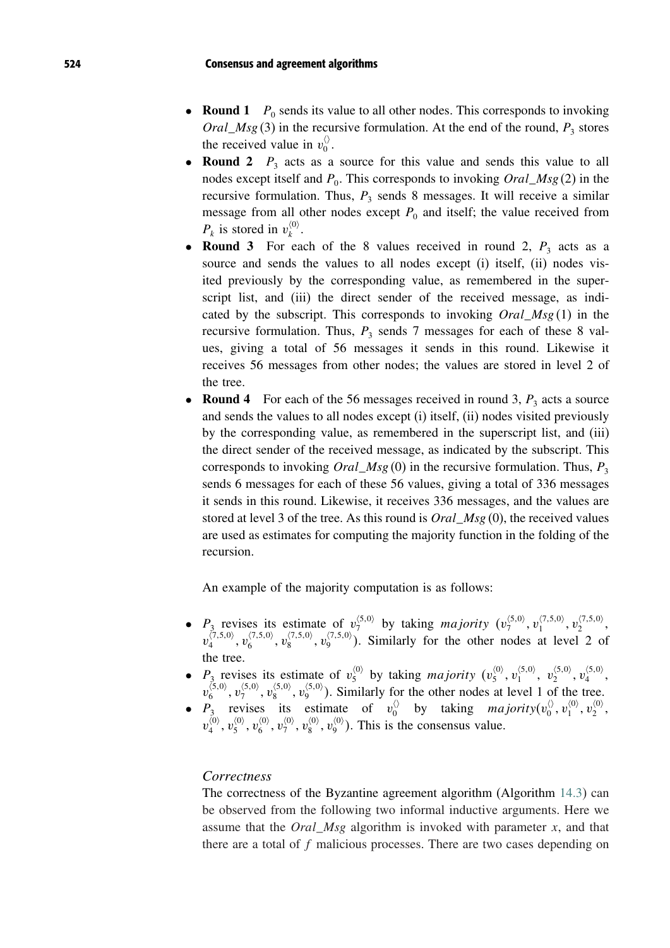- **Round 1**  $P_0$  sends its value to all other nodes. This corresponds to invoking *Oral\_Msg* (3) in the recursive formulation. At the end of the round,  $P_3$  stores the received value in  $v_0^{\vee}$ .
- **Round 2**  $P_3$  acts as a source for this value and sends this value to all nodes except itself and  $P_0$ . This corresponds to invoking  $Oral\_Msg(2)$  in the recursive formulation. Thus,  $P_3$  sends 8 messages. It will receive a similar message from all other nodes except  $P_0$  and itself; the value received from  $P_k$  is stored in  $v_k^{\langle 0 \rangle}$ .
- Round 3 For each of the 8 values received in round 2,  $P_3$  acts as a source and sends the values to all nodes except (i) itself, (ii) nodes visited previously by the corresponding value, as remembered in the superscript list, and (iii) the direct sender of the received message, as indicated by the subscript. This corresponds to invoking *Oral Msg*  $(1)$  in the recursive formulation. Thus,  $P_3$  sends 7 messages for each of these 8 values, giving a total of 56 messages it sends in this round. Likewise it receives 56 messages from other nodes; the values are stored in level 2 of the tree.
- Round 4 For each of the 56 messages received in round 3,  $P_3$  acts a source and sends the values to all nodes except (i) itself, (ii) nodes visited previously by the corresponding value, as remembered in the superscript list, and (iii) the direct sender of the received message, as indicated by the subscript. This corresponds to invoking  $Oral\_Msg(0)$  in the recursive formulation. Thus,  $P_3$ sends 6 messages for each of these 56 values, giving a total of 336 messages it sends in this round. Likewise, it receives 336 messages, and the values are stored at level 3 of the tree. As this round is  $Oral\_Msg(0)$ , the received values are used as estimates for computing the majority function in the folding of the recursion.

An example of the majority computation is as follows:

- $P_3$  revises its estimate of  $v_7^{(5,0)}$  by taking *majority*  $(v_7^{(5,0)}, v_1^{(7,5,0)}, v_2^{(7,5,0)},$  $v_4^{(7,5,0)}, v_6^{(7,5,0)}, v_8^{(7,5,0)}, v_9^{(7,5,0)}$ . Similarly for the other nodes at level 2 of the tree.
- $P_3$  revises its estimate of  $v_5^{(0)}$  by taking *majority*  $(v_5^{(0)}, v_1^{(5,0)}, v_2^{(5,0)}, v_4^{(5,0)}, v_5^{(5,0)})$  $v_6^{\langle 5,0 \rangle}, v_7^{\langle 5,0 \rangle}, v_8^{\langle 5,0 \rangle}, v_9^{\langle 5,0 \rangle}$ . Similarly for the other nodes at level 1 of the tree.
- $P_3$  revises its estimate of  $v_0^{\langle\rangle}$  by taking *majority* $(v_0^{\langle\rangle}, v_1^{\langle 0 \rangle}, v_2^{\langle 0 \rangle}, v_3^{\langle 0 \rangle})$  $v_4^{(0)}$ ,  $v_5^{(0)}$ ,  $v_6^{(0)}$ ,  $v_7^{(0)}$ ,  $v_8^{(0)}$ ,  $v_9^{(0)}$ ). This is the consensus value.

#### *Correctness*

The correctness of the Byzantine agreement algorithm (Algorithm 14.3) can be observed from the following two informal inductive arguments. Here we assume that the *Oral\_Msg* algorithm is invoked with parameter  $x$ , and that there are a total of f malicious processes. There are two cases depending on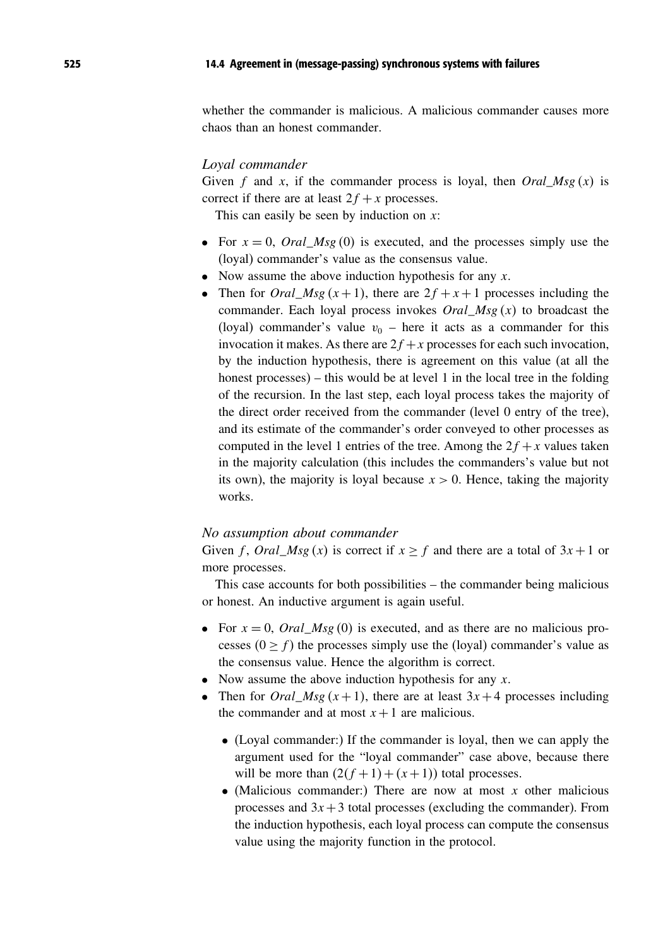whether the commander is malicious. A malicious commander causes more chaos than an honest commander.

#### *Loyal commander*

Given f and x, if the commander process is loyal, then *Oral Msg*  $(x)$  is correct if there are at least  $2f + x$  processes.

This can easily be seen by induction on  $x$ :

- For  $x = 0$ , Oral Msg (0) is executed, and the processes simply use the (loyal) commander's value as the consensus value.
- Now assume the above induction hypothesis for any  $x$ .
- Then for *Oral*  $Msg(x + 1)$ , there are  $2f + x + 1$  processes including the commander. Each loyal process invokes *Oral Msg (x)* to broadcast the (loyal) commander's value  $v_0$  – here it acts as a commander for this invocation it makes. As there are  $2f + x$  processes for each such invocation, by the induction hypothesis, there is agreement on this value (at all the honest processes) – this would be at level 1 in the local tree in the folding of the recursion. In the last step, each loyal process takes the majority of the direct order received from the commander (level 0 entry of the tree), and its estimate of the commander's order conveyed to other processes as computed in the level 1 entries of the tree. Among the  $2f + x$  values taken in the majority calculation (this includes the commanders's value but not its own), the majority is loyal because  $x > 0$ . Hence, taking the majority works.

#### *No assumption about commander*

Given f, Oral\_Msg (x) is correct if  $x \ge f$  and there are a total of  $3x + 1$  or more processes.

This case accounts for both possibilities – the commander being malicious or honest. An inductive argument is again useful.

- For  $x = 0$ , Oral\_Msg (0) is executed, and as there are no malicious processes  $(0 > f)$  the processes simply use the (loyal) commander's value as the consensus value. Hence the algorithm is correct.
- Now assume the above induction hypothesis for any  $x$ .
- Then for *Oral*  $Msg(x + 1)$ , there are at least  $3x + 4$  processes including the commander and at most  $x+1$  are malicious.
	- (Loyal commander:) If the commander is loyal, then we can apply the argument used for the "loyal commander" case above, because there will be more than  $(2(f+1)+(x+1))$  total processes.
	- (Malicious commander:) There are now at most  $x$  other malicious processes and  $3x+3$  total processes (excluding the commander). From the induction hypothesis, each loyal process can compute the consensus value using the majority function in the protocol.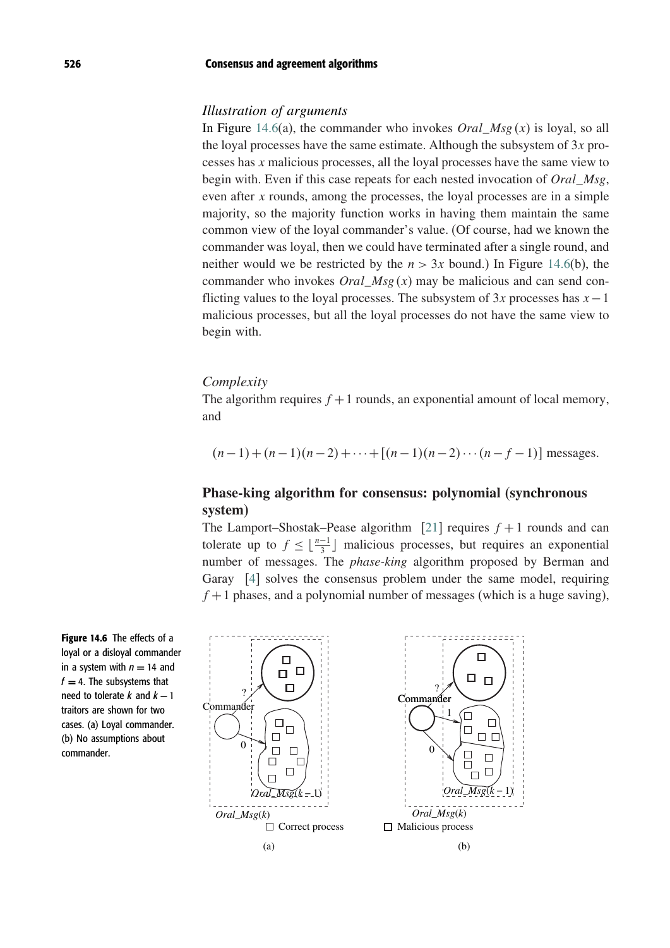#### *Illustration of arguments*

In Figure 14.6(a), the commander who invokes  $Oral\_Msg(x)$  is loyal, so all the loyal processes have the same estimate. Although the subsystem of  $3x$  processes has x malicious processes, all the loyal processes have the same view to begin with. Even if this case repeats for each nested invocation of *Oral Msg*, even after x rounds, among the processes, the loyal processes are in a simple majority, so the majority function works in having them maintain the same common view of the loyal commander's value. (Of course, had we known the commander was loyal, then we could have terminated after a single round, and neither would we be restricted by the  $n > 3x$  bound.) In Figure 14.6(b), the commander who invokes *Oral Msg (x)* may be malicious and can send conflicting values to the loyal processes. The subsystem of  $3x$  processes has  $x-1$ malicious processes, but all the loyal processes do not have the same view to begin with.

#### *Complexity*

The algorithm requires  $f + 1$  rounds, an exponential amount of local memory, and

$$
(n-1) + (n-1)(n-2) + \cdots + [(n-1)(n-2) \cdots (n-f-1)]
$$
 messages.

## Phase-king algorithm for consensus: polynomial (synchronous system)

The Lamport–Shostak–Pease algorithm [21] requires  $f + 1$  rounds and can tolerate up to  $f \leq \lfloor \frac{n-1}{3} \rfloor$  malicious processes, but requires an exponential number of messages. The *phase-king* algorithm proposed by Berman and Garay [4] solves the consensus problem under the same model, requiring  $f + 1$  phases, and a polynomial number of messages (which is a huge saving),



Figure 14.6 The effects of a loyal or a disloyal commander in a system with  $n = 14$  and  $f = 4$ . The subsystems that need to tolerate  $k$  and  $k - 1$ traitors are shown for two cases. (a) Loyal commander. (b) No assumptions about commander.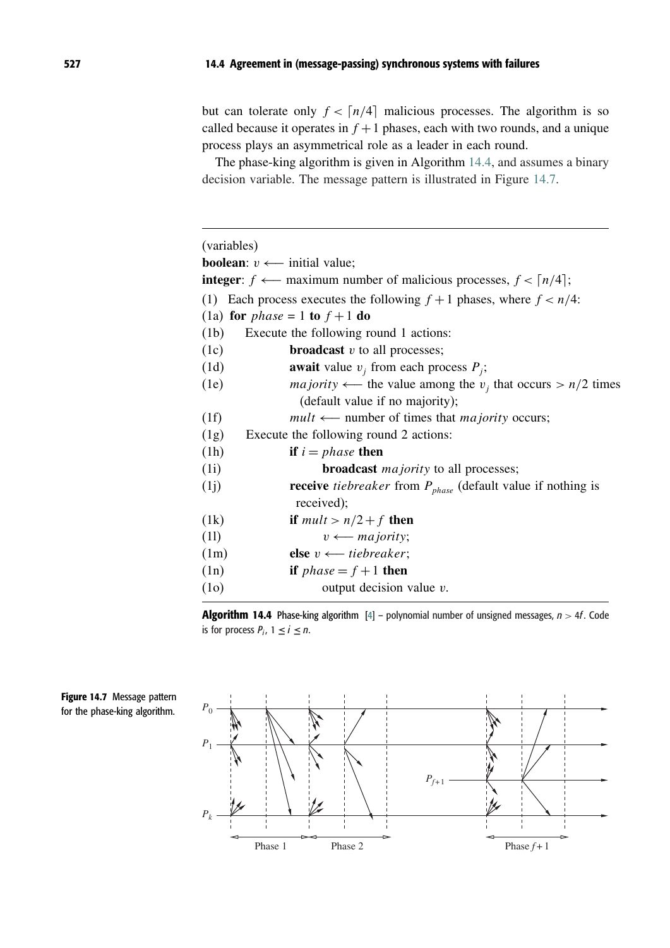but can tolerate only  $f < \lceil n/4 \rceil$  malicious processes. The algorithm is so called because it operates in  $f + 1$  phases, each with two rounds, and a unique process plays an asymmetrical role as a leader in each round.

The phase-king algorithm is given in Algorithm 14.4, and assumes a binary decision variable. The message pattern is illustrated in Figure 14.7.

| (variables)                                                                                  |
|----------------------------------------------------------------------------------------------|
| <b>boolean</b> : $v \leftarrow$ initial value;                                               |
| <b>integer</b> : $f \leftarrow$ maximum number of malicious processes, $f < [n/4]$ ;         |
| (1) Each process executes the following $f + 1$ phases, where $f < n/4$ :                    |
| (1a) for <i>phase</i> = 1 to $f + 1$ do                                                      |
| Execute the following round 1 actions:<br>(1b)                                               |
| (1c)<br><b>broadcast</b> $v$ to all processes;                                               |
| (1d)<br><b>await</b> value $v_i$ from each process $P_i$ ;                                   |
| (1e)<br><i>majority</i> $\longleftarrow$ the value among the $v_i$ that occurs $> n/2$ times |
| (default value if no majority);                                                              |
| (1f)<br>$mult \longleftarrow$ number of times that <i>majority</i> occurs;                   |
| (1g)<br>Execute the following round 2 actions:                                               |
| (1h)<br><b>if</b> $i = phase$ then                                                           |
| (1i)<br><b>broadcast</b> <i>majority</i> to all processes;                                   |
| <b>receive</b> <i>tiebreaker</i> from $P_{phase}$ (default value if nothing is<br>(1j)       |
| received);                                                                                   |
| if $mult > n/2 + f$ then<br>(1k)                                                             |
| (11)<br>$v \longleftarrow$ majority;                                                         |
| else $v \leftarrow tiebreaker;$<br>(1m)                                                      |
| if $phase = f + 1$ then<br>(1n)                                                              |
| output decision value $v$ .<br>(1 <sub>0</sub> )                                             |

**Algorithm 14.4** Phase-king algorithm  $[4]$  – polynomial number of unsigned messages,  $n > 4f$ . Code is for process  $P_i$ ,  $1 \le i \le n$ .



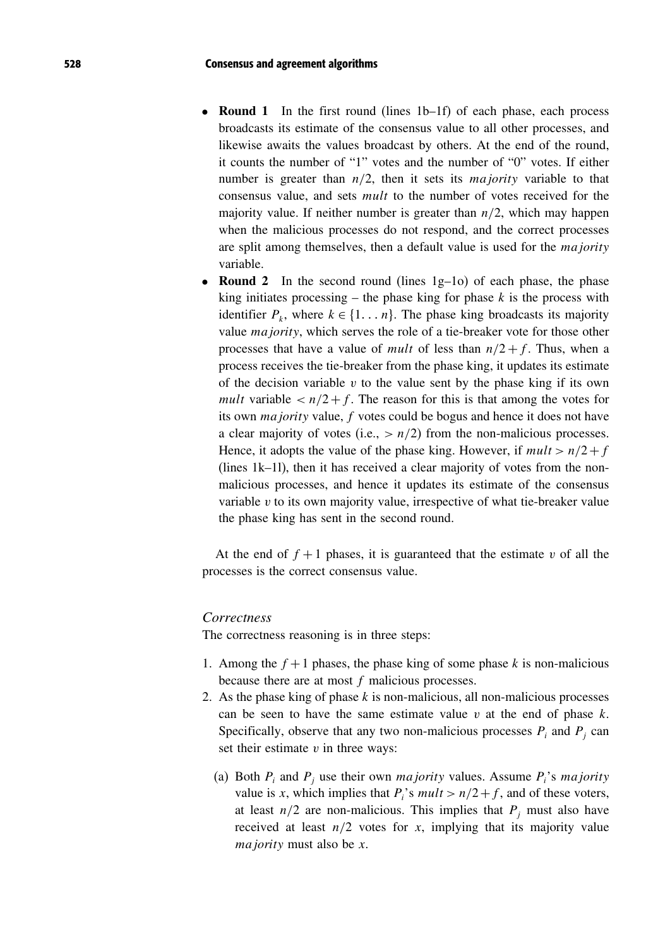- **Round 1** In the first round (lines 1b–1f) of each phase, each process broadcasts its estimate of the consensus value to all other processes, and likewise awaits the values broadcast by others. At the end of the round, it counts the number of "1" votes and the number of "0" votes. If either number is greater than  $n/2$ , then it sets its *majority* variable to that consensus value, and sets mult to the number of votes received for the majority value. If neither number is greater than  $n/2$ , which may happen when the malicious processes do not respond, and the correct processes are split among themselves, then a default value is used for the *majority* variable.
- Round 2 In the second round (lines 1g-1o) of each phase, the phase king initiates processing – the phase king for phase  $k$  is the process with identifier  $P_k$ , where  $k \in \{1, ..., n\}$ . The phase king broadcasts its majority value majority, which serves the role of a tie-breaker vote for those other processes that have a value of *mult* of less than  $n/2 + f$ . Thus, when a process receives the tie-breaker from the phase king, it updates its estimate of the decision variable  $v$  to the value sent by the phase king if its own mult variable  $\langle n/2+f$ . The reason for this is that among the votes for its own majority value, f votes could be bogus and hence it does not have a clear majority of votes (i.e.,  $> n/2$ ) from the non-malicious processes. Hence, it adopts the value of the phase king. However, if  $mult > n/2 + f$ (lines 1k–1l), then it has received a clear majority of votes from the nonmalicious processes, and hence it updates its estimate of the consensus variable  $v$  to its own majority value, irrespective of what tie-breaker value the phase king has sent in the second round.

At the end of  $f + 1$  phases, it is guaranteed that the estimate v of all the processes is the correct consensus value.

#### *Correctness*

The correctness reasoning is in three steps:

- 1. Among the  $f + 1$  phases, the phase king of some phase k is non-malicious because there are at most  $f$  malicious processes.
- 2. As the phase king of phase k is non-malicious, all non-malicious processes can be seen to have the same estimate value  $v$  at the end of phase  $k$ . Specifically, observe that any two non-malicious processes  $P_i$  and  $P_j$  can set their estimate  $v$  in three ways:
	- (a) Both  $P_i$  and  $P_j$  use their own *majority* values. Assume  $P_i$ 's *majority* value is x, which implies that  $P_i$ 's  $mult > n/2+f$ , and of these voters, at least  $n/2$  are non-malicious. This implies that  $P_i$  must also have received at least  $n/2$  votes for x, implying that its majority value majority must also be  $x$ .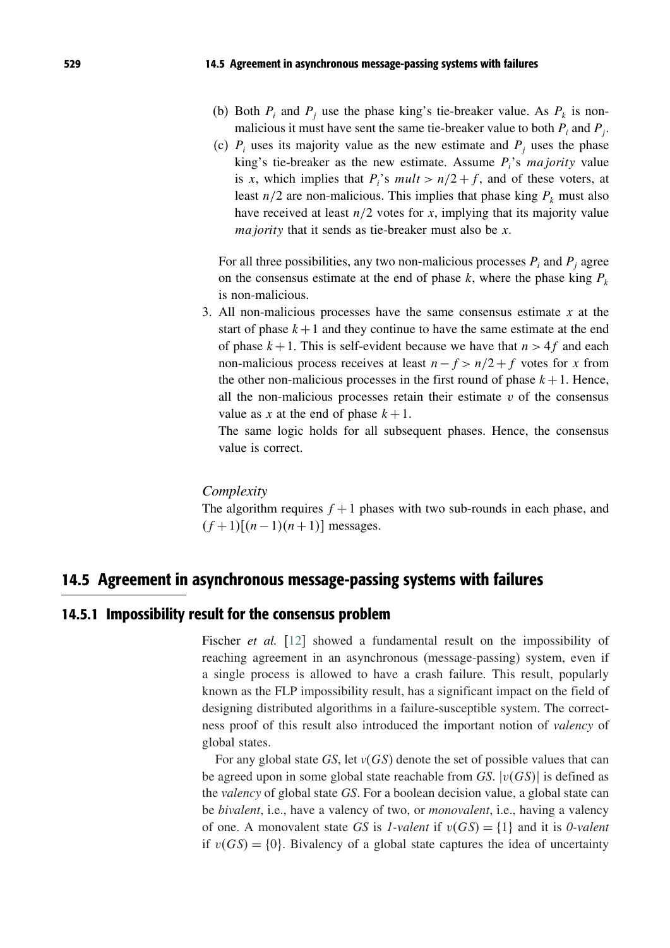#### 529 14.5 Agreement in asynchronous message-passing systems with failures

- (b) Both  $P_i$  and  $P_j$  use the phase king's tie-breaker value. As  $P_k$  is nonmalicious it must have sent the same tie-breaker value to both  $P_i$  and  $P_j$ .
- (c)  $P_i$  uses its majority value as the new estimate and  $P_i$  uses the phase king's tie-breaker as the new estimate. Assume  $P_i$ 's *majority* value is x, which implies that  $P_i$ 's mult  $> n/2+f$ , and of these voters, at least  $n/2$  are non-malicious. This implies that phase king  $P_k$  must also have received at least  $n/2$  votes for x, implying that its majority value *ma jority* that it sends as tie-breaker must also be x.

For all three possibilities, any two non-malicious processes  $P_i$  and  $P_j$  agree on the consensus estimate at the end of phase k, where the phase king  $P_k$ is non-malicious.

3. All non-malicious processes have the same consensus estimate  $x$  at the start of phase  $k+1$  and they continue to have the same estimate at the end of phase  $k+1$ . This is self-evident because we have that  $n > 4f$  and each non-malicious process receives at least  $n - f > n/2 + f$  votes for x from the other non-malicious processes in the first round of phase  $k+1$ . Hence, all the non-malicious processes retain their estimate  $v$  of the consensus value as x at the end of phase  $k+1$ .

The same logic holds for all subsequent phases. Hence, the consensus value is correct.

*Complexity*

The algorithm requires  $f + 1$  phases with two sub-rounds in each phase, and  $(f+1)[(n-1)(n+1)]$  messages.

# 14.5 Agreement in asynchronous message-passing systems with failures

## 14.5.1 Impossibility result for the consensus problem

Fischer *et al.* [12] showed a fundamental result on the impossibility of reaching agreement in an asynchronous (message-passing) system, even if a single process is allowed to have a crash failure. This result, popularly known as the FLP impossibility result, has a significant impact on the field of designing distributed algorithms in a failure-susceptible system. The correctness proof of this result also introduced the important notion of *valency* of global states.

For any global state *GS*, let  $v(GS)$  denote the set of possible values that can be agreed upon in some global state reachable from *GS*.  $|v(GS)|$  is defined as the *valency* of global state *GS*. For a boolean decision value, a global state can be *bivalent*, i.e., have a valency of two, or *monovalent*, i.e., having a valency of one. A monovalent state *GS* is *1-valent* if  $v(GS) = \{1\}$  and it is *0-valent* if  $v(GS) = \{0\}$ . Bivalency of a global state captures the idea of uncertainty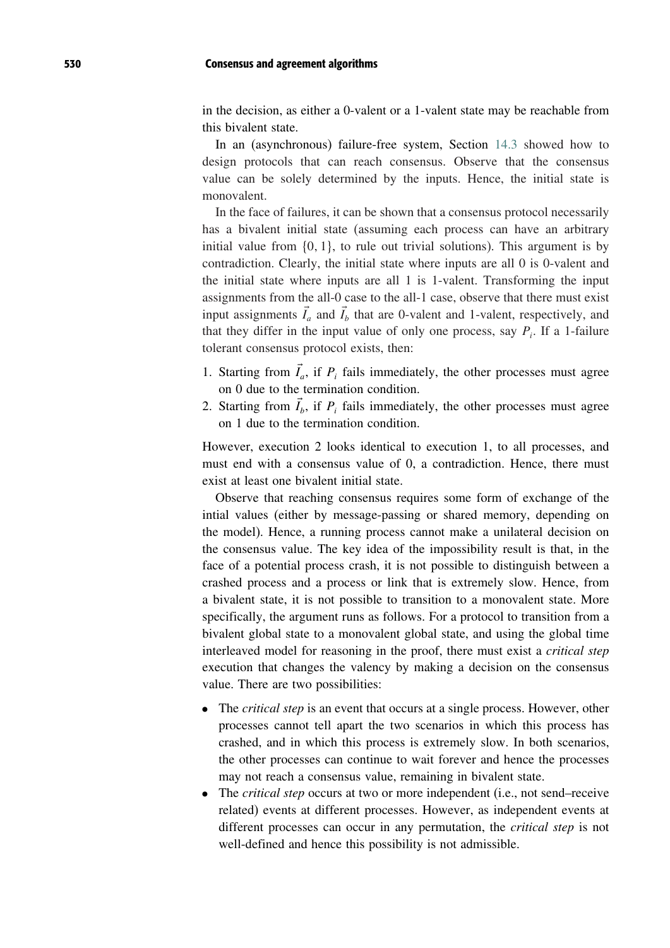in the decision, as either a 0-valent or a 1-valent state may be reachable from this bivalent state.

In an (asynchronous) failure-free system, Section 14.3 showed how to design protocols that can reach consensus. Observe that the consensus value can be solely determined by the inputs. Hence, the initial state is monovalent.

In the face of failures, it can be shown that a consensus protocol necessarily has a bivalent initial state (assuming each process can have an arbitrary initial value from  $\{0, 1\}$ , to rule out trivial solutions). This argument is by contradiction. Clearly, the initial state where inputs are all 0 is 0-valent and the initial state where inputs are all 1 is 1-valent. Transforming the input assignments from the all-0 case to the all-1 case, observe that there must exist input assignments  $I_a$  and  $I_b$  that are 0-valent and 1-valent, respectively, and that they differ in the input value of only one process, say  $P_i$ . If a 1-failure tolerant consensus protocol exists, then:

- 1. Starting from  $I_a$ , if  $P_i$  fails immediately, the other processes must agree on 0 due to the termination condition.
- 2. Starting from  $I<sub>b</sub>$ , if  $P<sub>i</sub>$  fails immediately, the other processes must agree on 1 due to the termination condition.

However, execution 2 looks identical to execution 1, to all processes, and must end with a consensus value of 0, a contradiction. Hence, there must exist at least one bivalent initial state.

Observe that reaching consensus requires some form of exchange of the intial values (either by message-passing or shared memory, depending on the model). Hence, a running process cannot make a unilateral decision on the consensus value. The key idea of the impossibility result is that, in the face of a potential process crash, it is not possible to distinguish between a crashed process and a process or link that is extremely slow. Hence, from a bivalent state, it is not possible to transition to a monovalent state. More specifically, the argument runs as follows. For a protocol to transition from a bivalent global state to a monovalent global state, and using the global time interleaved model for reasoning in the proof, there must exist a *critical step* execution that changes the valency by making a decision on the consensus value. There are two possibilities:

- The *critical step* is an event that occurs at a single process. However, other processes cannot tell apart the two scenarios in which this process has crashed, and in which this process is extremely slow. In both scenarios, the other processes can continue to wait forever and hence the processes may not reach a consensus value, remaining in bivalent state.
- The *critical step* occurs at two or more independent (i.e., not send–receive related) events at different processes. However, as independent events at different processes can occur in any permutation, the *critical step* is not well-defined and hence this possibility is not admissible.